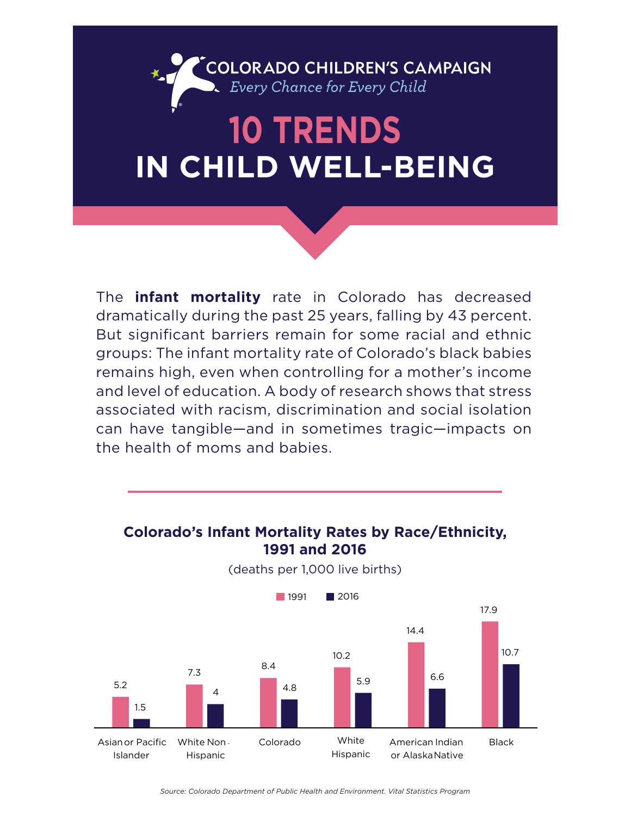# COLORADO CHILDREN'S CAMPAIGN<br>D. Every Chance for Every Child

### **10 TRENDS IN CHILD WELL-BEING** ®

The **infant mortality** rate in Colorado has decreased dramatically during the past 25 years, falling by 43 percent. But significant barriers remain for some racial and ethnic groups: The infant mortality rate of Colorado's black babies remains high, even when controlling for a mother's income and level of education. A body of research shows that stress associated with racism, discrimination and social isolation can have tangible—and in sometimes tragic—impacts on the health of moms and babies.

#### **Colorado's Infant Mortality Rates by Race/Ethnicity, 1991 and 2016**



(deaths per 1,000 live births)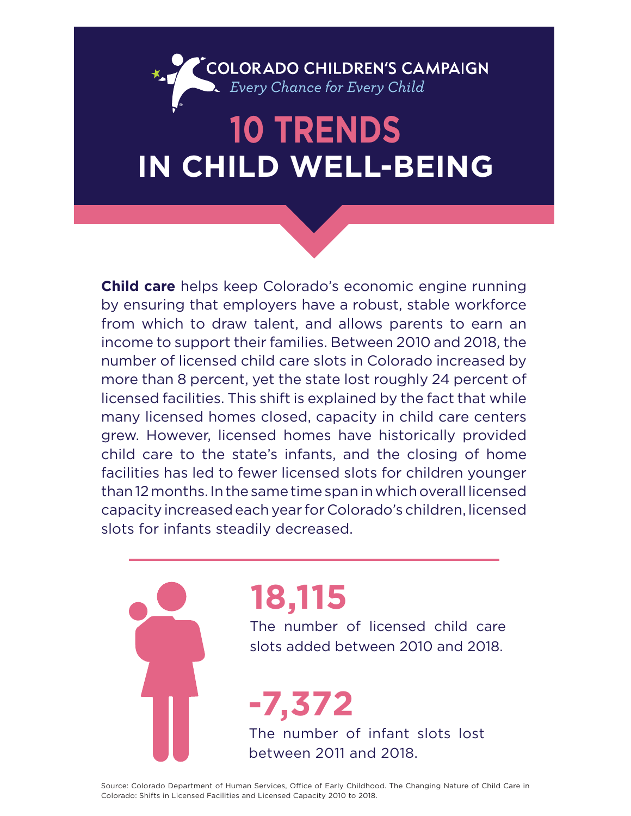### **COLORADO CHILDREN'S CAMPAIGN**<br>• Every Chance for Every Child ®

### **10 TRENDS IN CHILD WELL-BEING**

**Child care** helps keep Colorado's economic engine running by ensuring that employers have a robust, stable workforce from which to draw talent, and allows parents to earn an income to support their families. Between 2010 and 2018, the number of licensed child care slots in Colorado increased by more than 8 percent, yet the state lost roughly 24 percent of licensed facilities. This shift is explained by the fact that while many licensed homes closed, capacity in child care centers grew. However, licensed homes have historically provided child care to the state's infants, and the closing of home facilities has led to fewer licensed slots for children younger than 12 months. In the same time span in which overall licensed capacity increased each year for Colorado's children, licensed slots for infants steadily decreased.

# **18,115**

The number of licensed child care slots added between 2010 and 2018.

**-7,372** The number of infant slots lost between 2011 and 2018.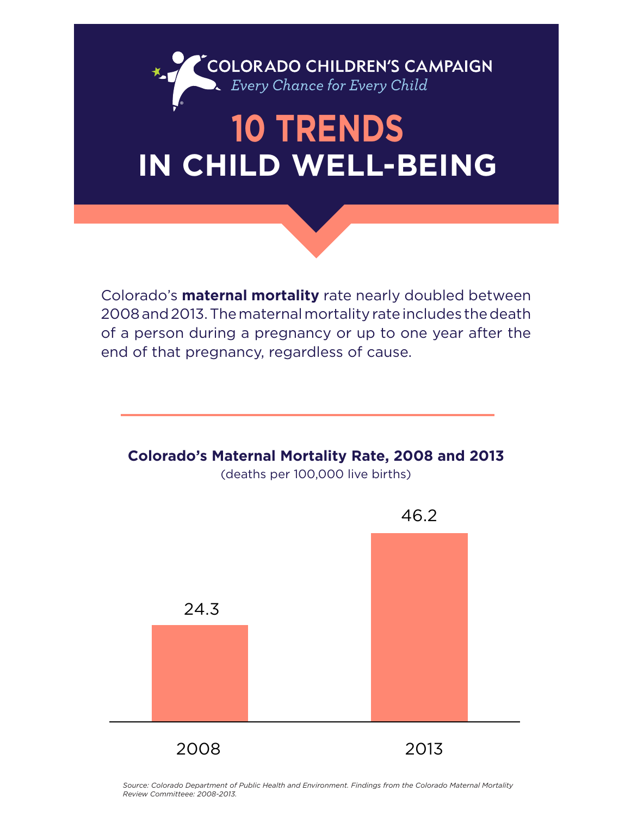

## **10 TRENDS IN CHILD WELL-BEING**

Colorado's **maternal mortality** rate nearly doubled between 2008 and 2013. The maternal mortality rate includes the death of a person during a pregnancy or up to one year after the end of that pregnancy, regardless of cause.



*Source: Colorado Department of Public Health and Environment. Findings from the Colorado Maternal Mortality Review Committeee: 2008-2013.*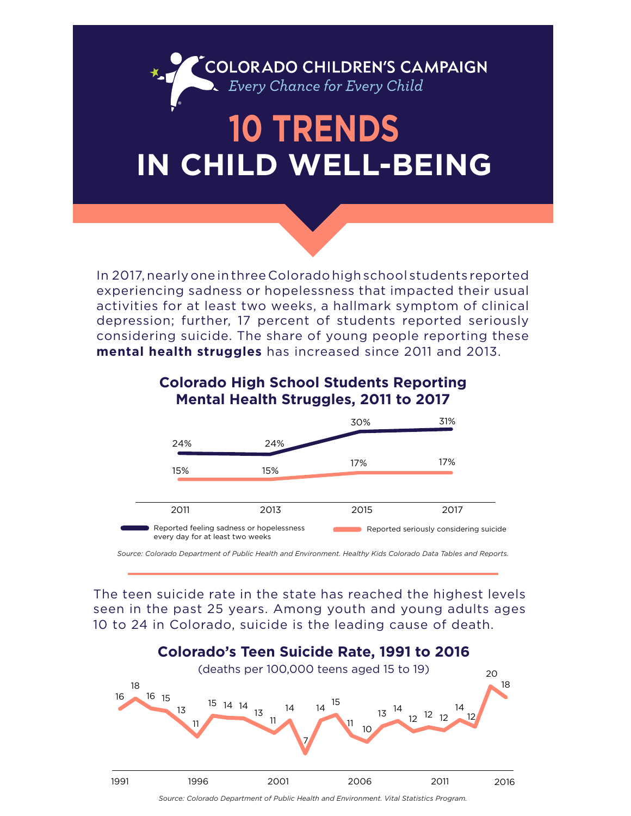

In 2017, nearly one in three Colorado high school students reported experiencing sadness or hopelessness that impacted their usual activities for at least two weeks, a hallmark symptom of clinical depression; further, 17 percent of students reported seriously considering suicide. The share of young people reporting these **mental health struggles** has increased since 2011 and 2013.



#### **Colorado High School Students Reporting Mental Health Struggles, 2011 to 2017** 30%

*Source: Colorado Department of Public Health and Environment. Healthy Kids Colorado Data Tables and Reports.*

The teen suicide rate in the state has reached the highest levels seen in the past 25 years. Among youth and young adults ages 10 to 24 in Colorado, suicide is the leading cause of death.



*Source: Colorado Department of Public Health and Environment. Vital Statistics Program.*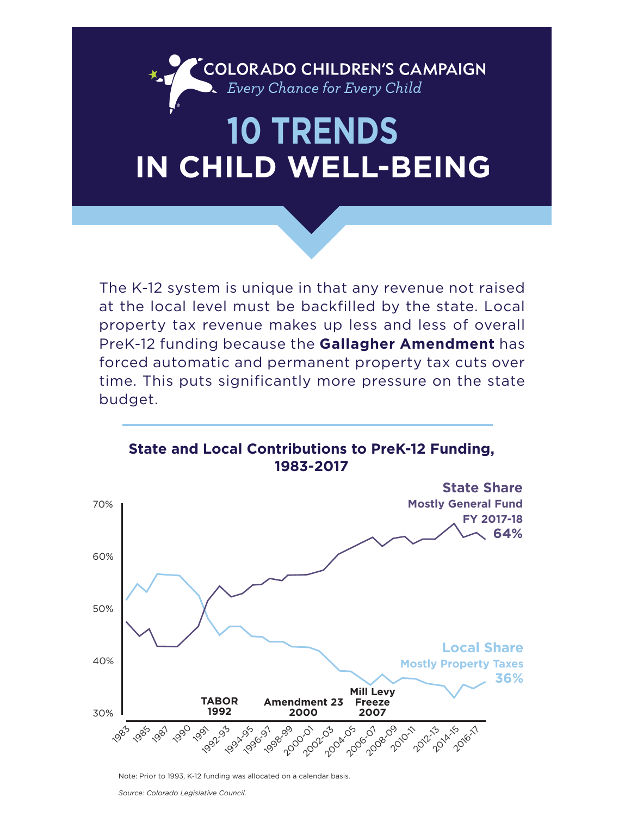COLORADO CHILDREN'S CAMPAIGN<br>
> Every Chance for Every Child

#### **10 TRENDS IN CHILD WELL-BEING** ®

The K-12 system is unique in that any revenue not raised at the local level must be backfilled by the state. Local property tax revenue makes up less and less of overall PreK-12 funding because the **Gallagher Amendment** has forced automatic and permanent property tax cuts over time. This puts significantly more pressure on the state budget.



Note: Prior to 1993, K-12 funding was allocated on a calendar basis.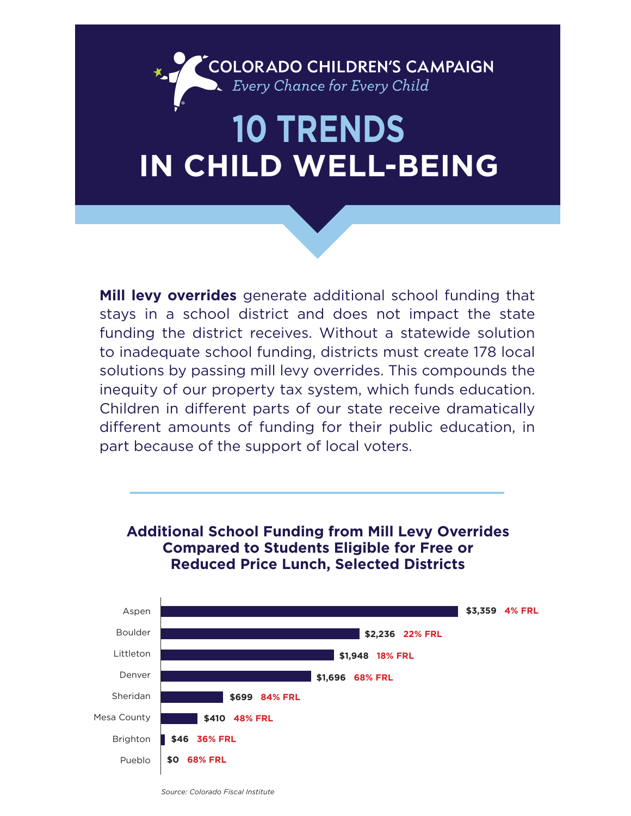### **10 TRENDS IN CHILD WELL-BEING** ®

COLORADO CHILDREN'S CAMPAIGN<br>
> Every Chance for Every Child

**Mill levy overrides** generate additional school funding that stays in a school district and does not impact the state funding the district receives. Without a statewide solution to inadequate school funding, districts must create 178 local solutions by passing mill levy overrides. This compounds the inequity of our property tax system, which funds education. Children in different parts of our state receive dramatically different amounts of funding for their public education, in part because of the support of local voters.



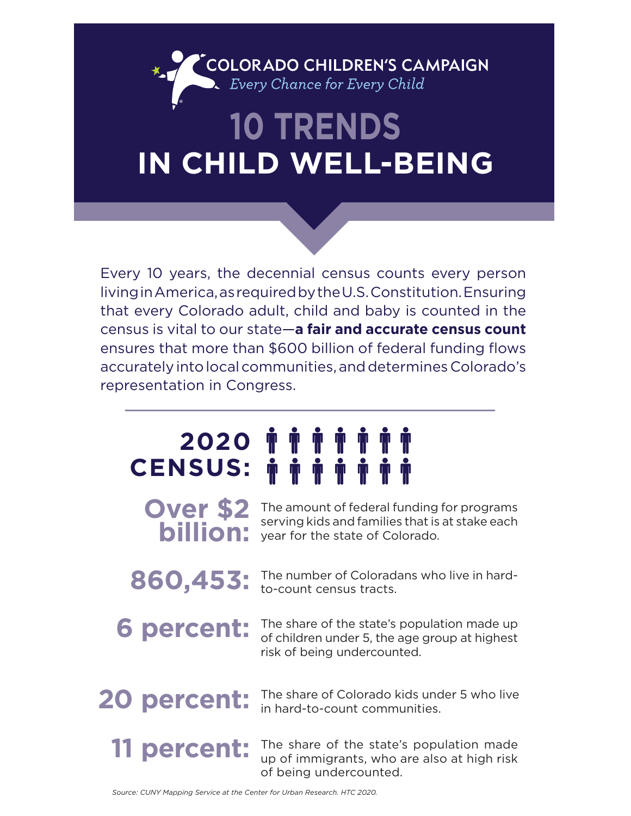### **COLORADO CHILDREN'S CAMPAIGN**<br>• Every Chance for Every Child ®

## **10 TRENDS IN CHILD WELL-BEING**

Every 10 years, the decennial census counts every person living in America, as required by the U.S. Constitution. Ensuring that every Colorado adult, child and baby is counted in the census is vital to our state—**a fair and accurate census count** ensures that more than \$600 billion of federal funding flows accurately into local communities, and determines Colorado's representation in Congress.

### **2020 CENSUS:**

**Over \$2 billion:**

The amount of federal funding for programs serving kids and families that is at stake each year for the state of Colorado.

860,453: The number of Coloradans who live in hard-<br> **860,453:** to-count census tracts. to-count census tracts.

**6 percent:** The share of the state's population made up of children under 5, the age group at highest of children under 5, the age group at highest risk of being undercounted.

20 **percent:** The share of Colorado kids under 5 who live in hard-to-count communities.

**11 percent:**

The share of the state's population made up of immigrants, who are also at high risk of being undercounted.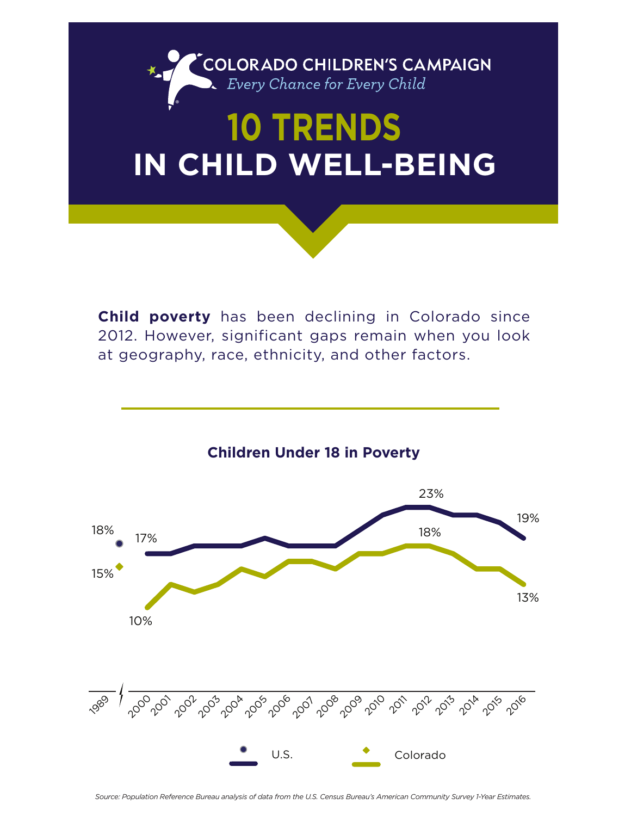

**Child poverty** has been declining in Colorado since 2012. However, significant gaps remain when you look at geography, race, ethnicity, and other factors.



Source: Population Reference Bureau analysis of data from the U.S. Census Bureau's American Community Survey 1-Year Estimates.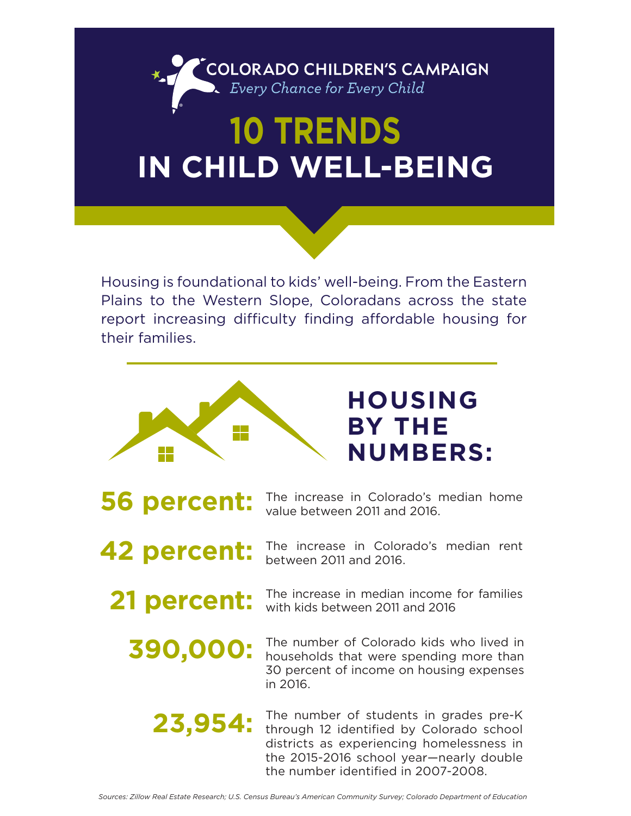

### **10 TRENDS IN CHILD WELL-BEING**

Housing is foundational to kids' well-being. From the Eastern Plains to the Western Slope, Coloradans across the state report increasing difficulty finding affordable housing for their families.



**56 percent:** The increase in Colorado's median home value between 2011 and 2016. value between 2011 and 2016.

- **42 percent:** The increase in Colorado's median rent between 2011 and 2016.
	- **21 percent:** The increase in median income for families with kids between 2011 and 2016

**390,000:** The number of Colorado kids who lived in households that were spending more than 30 percent of income on housing expenses in 2016.

The number of students in grades pre-K through 12 identified by Colorado school districts as experiencing homelessness in the 2015-2016 school year—nearly double the number identified in 2007-2008. **23,954:**